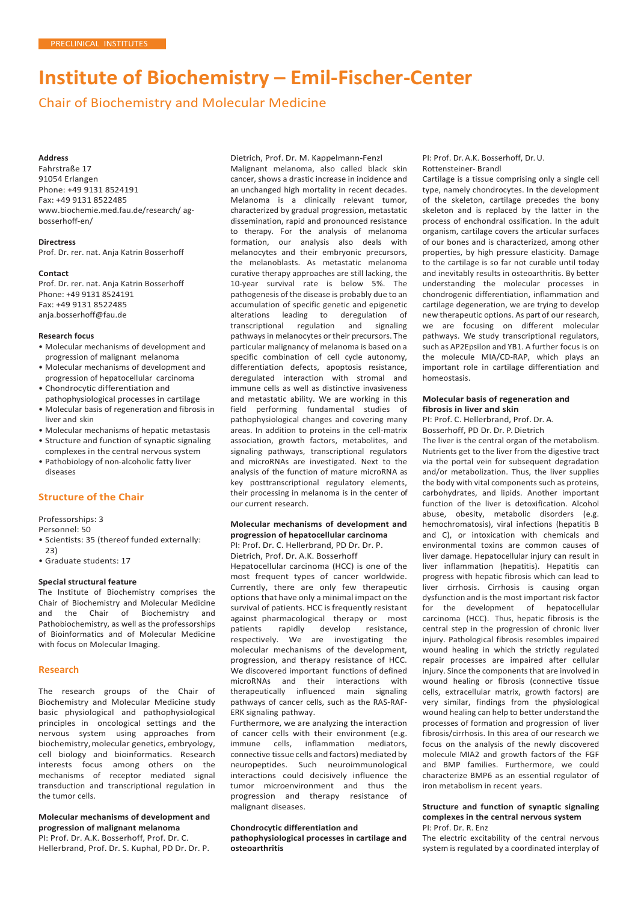# **Institute of Biochemistry – Emil-Fischer-Center**

Chair of Biochemistry and Molecular Medicine

#### **Address**

Fahrstraße 17 91054 Erlangen Phone: +49 9131 8524191 Fax: +49 9131 8522485 [www.biochemie.med.fau.de/research/](http://www.biochemie.med.fau.de/research/) agbosserhoff-en/

#### **Directress**

Prof. Dr. rer. nat. Anja Katrin Bosserhoff

#### **Contact**

Prof. Dr. rer. nat. Anja Katrin Bosserhoff Phone: +49 9131 8524191 Fax: +49 9131 8522485 [anja.bosserhoff@fau.de](mailto:anja.bosserhoff@fau.de)

## **Research focus**

- Molecular mechanisms of development and progression of malignant melanoma
- Molecular mechanisms of development and progression of hepatocellular carcinoma
- Chondrocytic differentiation and pathophysiological processes in cartilage
- Molecular basis of regeneration and fibrosis in liver and skin
- Molecular mechanisms of hepatic metastasis • Structure and function of synaptic signaling
- complexes in the central nervous system • Pathobiology of non-alcoholic fatty liver
- diseases

## **Structure of the Chair**

Professorships: 3

Personnel: 50

- Scientists: 35 (thereof funded externally: 23)
- Graduate students: 17

#### **Special structural feature**

The Institute of Biochemistry comprises the Chair of Biochemistry and Molecular Medicine<br>and the Chair of Biochemistry and and the Chair of Biochemistry Pathobiochemistry, as well as the professorships of Bioinformatics and of Molecular Medicine with focus on Molecular Imaging.

#### **Research**

The research groups of the Chair of Biochemistry and Molecular Medicine study basic physiological and pathophysiological principles in oncological settings and the nervous system using approaches from biochemistry,molecular genetics, embryology, cell biology and bioinformatics. Research interests focus among others on the mechanisms of receptor mediated signal transduction and transcriptional regulation in the tumor cells.

#### **Molecular mechanisms of development and progression of malignant melanoma** PI: Prof. Dr. A.K. Bosserhoff, Prof. Dr. C.

Hellerbrand, Prof. Dr. S. Kuphal, PD Dr. Dr. P.

Dietrich, Prof. Dr. M. Kappelmann-Fenzl Malignant melanoma, also called black skin cancer, shows a drastic increase in incidence and an unchanged high mortality in recent decades. Melanoma is a clinically relevant tumor, characterized by gradual progression, metastatic dissemination, rapid and pronounced resistance to therapy. For the analysis of melanoma formation, our analysis also deals with melanocytes and their embryonic precursors, the melanoblasts. As metastatic melanoma curative therapy approaches are still lacking, the 10-year survival rate is below 5%. The pathogenesis of the disease is probably due to an accumulation of specific genetic and epigenetic alterations leading to deregulation of transcriptional regulation and signaling pathways in melanocytes or their precursors. The particular malignancy of melanoma is based on a specific combination of cell cycle autonomy, differentiation defects, apoptosis resistance, deregulated interaction with stromal and immune cells as well as distinctive invasiveness and metastatic ability. We are working in this field performing fundamental studies of pathophysiological changes and covering many areas. In addition to proteins in the cell-matrix association, growth factors, metabolites, and signaling pathways, transcriptional regulators and microRNAs are investigated. Next to the analysis of the function of mature microRNA as key posttranscriptional regulatory elements, their processing in melanoma is in the center of our current research.

## **Molecular mechanisms of development and progression of hepatocellular carcinoma**

PI: Prof. Dr. C. Hellerbrand, PD Dr. Dr. P. Dietrich, Prof. Dr. A.K. Bosserhoff

Hepatocellular carcinoma (HCC) is one of the most frequent types of cancer worldwide. Currently, there are only few therapeutic options that have only a minimal impact on the survival of patients. HCC is frequently resistant against pharmacological therapy or most patients rapidly develop resistance, respectively. We are investigating the molecular mechanisms of the development, progression, and therapy resistance of HCC. We discovered important functions of defined microRNAs and their interactions with therapeutically influenced main signaling pathways of cancer cells, such as the RAS-RAF-ERK signaling pathway.

Furthermore, we are analyzing the interaction of cancer cells with their environment (e.g. immune cells, inflammation mediators, connective tissue cells and factors) mediated by neuropeptides. Such neuroimmunological interactions could decisively influence the tumor microenvironment and thus the progression and therapy resistance of malignant diseases.

### **Chondrocytic differentiation and pathophysiological processes in cartilage and osteoarthritis**

PI: Prof. Dr. A.K. Bosserhoff, Dr. U. Rottensteiner- Brandl

Cartilage is a tissue comprising only a single cell type, namely chondrocytes. In the development of the skeleton, cartilage precedes the bony skeleton and is replaced by the latter in the process of enchondral ossification. In the adult organism, cartilage covers the articular surfaces of our bones and is characterized, among other properties, by high pressure elasticity. Damage to the cartilage is so far not curable until today and inevitably results in osteoarthritis. By better understanding the molecular processes in chondrogenic differentiation, inflammation and cartilage degeneration, we are trying to develop new therapeutic options. As part of our research, we are focusing on different molecular pathways. We study transcriptional regulators, such as AP2Epsilon and YB1. A further focus is on the molecule MIA/CD-RAP, which plays an important role in cartilage differentiation and homeostasis.

#### **Molecular basis of regeneration and fibrosis in liver and skin**

PI: Prof. C. Hellerbrand, Prof. Dr. A. Bosserhoff, PD Dr. Dr. P.Dietrich

The liver is the central organ of the metabolism. Nutrients get to the liver from the digestive tract via the portal vein for subsequent degradation and/or metabolization. Thus, the liver supplies the body with vital components such as proteins, carbohydrates, and lipids. Another important function of the liver is detoxification. Alcohol abuse, obesity, metabolic disorders (e.g. hemochromatosis), viral infections (hepatitis B and C), or intoxication with chemicals and environmental toxins are common causes of liver damage. Hepatocellular injury can result in liver inflammation (hepatitis). Hepatitis can progress with hepatic fibrosis which can lead to liver cirrhosis. Cirrhosis is causing organ dysfunction and is the most important risk factor for the development of hepatocellular carcinoma (HCC). Thus, hepatic fibrosis is the central step in the progression of chronic liver injury. Pathological fibrosis resembles impaired wound healing in which the strictly regulated repair processes are impaired after cellular injury. Since the components that are involved in wound healing or fibrosis (connective tissue cells, extracellular matrix, growth factors) are very similar, findings from the physiological wound healing can help to better understandthe processes of formation and progression of liver fibrosis/cirrhosis. In this area of our research we focus on the analysis of the newly discovered molecule MIA2 and growth factors of the FGF and BMP families. Furthermore, we could characterize BMP6 as an essential regulator of iron metabolism in recent years.

# **Structure and function of synaptic signaling complexes in the central nervous system**

PI: Prof. Dr. R. Enz

The electric excitability of the central nervous system is regulated by a coordinated interplay of